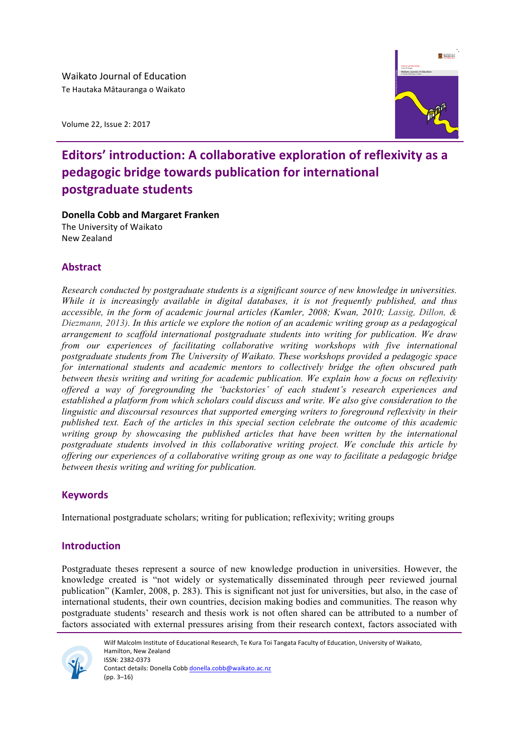Volume 22, Issue 2: 2017



# **Editors' introduction: A collaborative exploration of reflexivity as a** pedagogic bridge towards publication for international **postgraduate students**

**Donella Cobb and Margaret Franken** 

The University of Waikato New Zealand

# **Abstract**

*Research conducted by postgraduate students is a significant source of new knowledge in universities. While it is increasingly available in digital databases, it is not frequently published, and thus accessible, in the form of academic journal articles (Kamler, 2008; Kwan, 2010; Lassig, Dillon, & Diezmann, 2013). In this article we explore the notion of an academic writing group as a pedagogical arrangement to scaffold international postgraduate students into writing for publication. We draw from our experiences of facilitating collaborative writing workshops with five international postgraduate students from The University of Waikato. These workshops provided a pedagogic space for international students and academic mentors to collectively bridge the often obscured path between thesis writing and writing for academic publication. We explain how a focus on reflexivity offered a way of foregrounding the 'backstories' of each student's research experiences and established a platform from which scholars could discuss and write. We also give consideration to the linguistic and discoursal resources that supported emerging writers to foreground reflexivity in their published text. Each of the articles in this special section celebrate the outcome of this academic writing group by showcasing the published articles that have been written by the international postgraduate students involved in this collaborative writing project. We conclude this article by offering our experiences of a collaborative writing group as one way to facilitate a pedagogic bridge between thesis writing and writing for publication.* 

# **Keywords**

International postgraduate scholars; writing for publication; reflexivity; writing groups

# **Introduction**

Postgraduate theses represent a source of new knowledge production in universities. However, the knowledge created is "not widely or systematically disseminated through peer reviewed journal publication" (Kamler, 2008, p. 283). This is significant not just for universities, but also, in the case of international students, their own countries, decision making bodies and communities. The reason why postgraduate students' research and thesis work is not often shared can be attributed to a number of factors associated with external pressures arising from their research context, factors associated with



Wilf Malcolm Institute of Educational Research, Te Kura Toi Tangata Faculty of Education, University of Waikato, Hamilton, New Zealand ISSN: 2382-0373 Contact details: Donella Cobb donella.cobb@waikato.ac.nz  $(pp. 3-16)$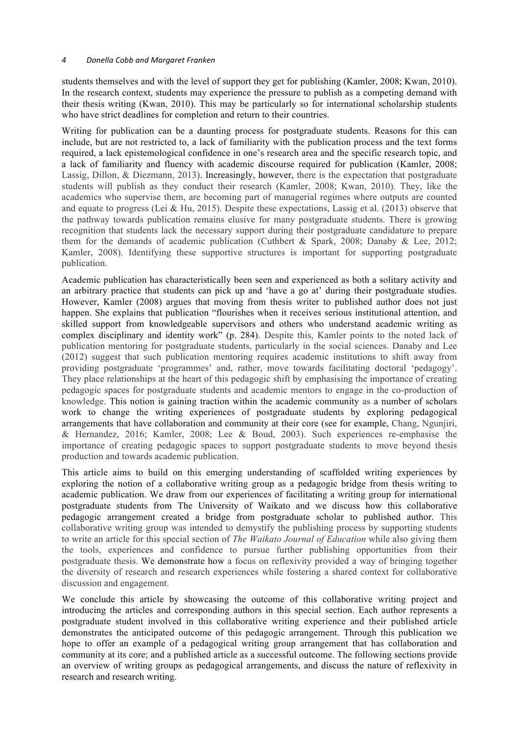### *4 Donella Cobb and Margaret Franken*

students themselves and with the level of support they get for publishing (Kamler, 2008; Kwan, 2010). In the research context, students may experience the pressure to publish as a competing demand with their thesis writing (Kwan, 2010). This may be particularly so for international scholarship students who have strict deadlines for completion and return to their countries.

Writing for publication can be a daunting process for postgraduate students. Reasons for this can include, but are not restricted to, a lack of familiarity with the publication process and the text forms required, a lack epistemological confidence in one's research area and the specific research topic, and a lack of familiarity and fluency with academic discourse required for publication (Kamler, 2008; Lassig, Dillon, & Diezmann, 2013). Increasingly, however, there is the expectation that postgraduate students will publish as they conduct their research (Kamler, 2008; Kwan, 2010). They, like the academics who supervise them, are becoming part of managerial regimes where outputs are counted and equate to progress (Lei & Hu, 2015). Despite these expectations, Lassig et al. (2013) observe that the pathway towards publication remains elusive for many postgraduate students. There is growing recognition that students lack the necessary support during their postgraduate candidature to prepare them for the demands of academic publication (Cuthbert & Spark, 2008; Danaby & Lee, 2012; Kamler, 2008). Identifying these supportive structures is important for supporting postgraduate publication.

Academic publication has characteristically been seen and experienced as both a solitary activity and an arbitrary practice that students can pick up and 'have a go at' during their postgraduate studies. However, Kamler (2008) argues that moving from thesis writer to published author does not just happen. She explains that publication "flourishes when it receives serious institutional attention, and skilled support from knowledgeable supervisors and others who understand academic writing as complex disciplinary and identity work" (p. 284). Despite this, Kamler points to the noted lack of publication mentoring for postgraduate students, particularly in the social sciences. Danaby and Lee (2012) suggest that such publication mentoring requires academic institutions to shift away from providing postgraduate 'programmes' and, rather, move towards facilitating doctoral 'pedagogy'. They place relationships at the heart of this pedagogic shift by emphasising the importance of creating pedagogic spaces for postgraduate students and academic mentors to engage in the co-production of knowledge. This notion is gaining traction within the academic community as a number of scholars work to change the writing experiences of postgraduate students by exploring pedagogical arrangements that have collaboration and community at their core (see for example, Chang, Ngunjiri, & Hernandez, 2016; Kamler, 2008; Lee & Boud, 2003). Such experiences re-emphasise the importance of creating pedagogic spaces to support postgraduate students to move beyond thesis production and towards academic publication.

This article aims to build on this emerging understanding of scaffolded writing experiences by exploring the notion of a collaborative writing group as a pedagogic bridge from thesis writing to academic publication. We draw from our experiences of facilitating a writing group for international postgraduate students from The University of Waikato and we discuss how this collaborative pedagogic arrangement created a bridge from postgraduate scholar to published author. This collaborative writing group was intended to demystify the publishing process by supporting students to write an article for this special section of *The Waikato Journal of Education* while also giving them the tools, experiences and confidence to pursue further publishing opportunities from their postgraduate thesis. We demonstrate how a focus on reflexivity provided a way of bringing together the diversity of research and research experiences while fostering a shared context for collaborative discussion and engagement.

We conclude this article by showcasing the outcome of this collaborative writing project and introducing the articles and corresponding authors in this special section. Each author represents a postgraduate student involved in this collaborative writing experience and their published article demonstrates the anticipated outcome of this pedagogic arrangement. Through this publication we hope to offer an example of a pedagogical writing group arrangement that has collaboration and community at its core; and a published article as a successful outcome. The following sections provide an overview of writing groups as pedagogical arrangements, and discuss the nature of reflexivity in research and research writing.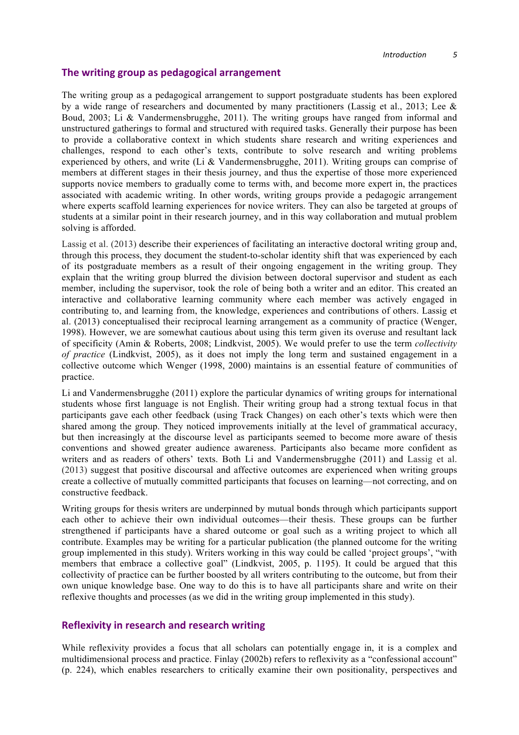# **The writing group as pedagogical arrangement**

The writing group as a pedagogical arrangement to support postgraduate students has been explored by a wide range of researchers and documented by many practitioners (Lassig et al., 2013; Lee & Boud, 2003; Li & Vandermensbrugghe, 2011). The writing groups have ranged from informal and unstructured gatherings to formal and structured with required tasks. Generally their purpose has been to provide a collaborative context in which students share research and writing experiences and challenges, respond to each other's texts, contribute to solve research and writing problems experienced by others, and write (Li & Vandermensbrugghe, 2011). Writing groups can comprise of members at different stages in their thesis journey, and thus the expertise of those more experienced supports novice members to gradually come to terms with, and become more expert in, the practices associated with academic writing. In other words, writing groups provide a pedagogic arrangement where experts scaffold learning experiences for novice writers. They can also be targeted at groups of students at a similar point in their research journey, and in this way collaboration and mutual problem solving is afforded.

Lassig et al. (2013) describe their experiences of facilitating an interactive doctoral writing group and, through this process, they document the student-to-scholar identity shift that was experienced by each of its postgraduate members as a result of their ongoing engagement in the writing group. They explain that the writing group blurred the division between doctoral supervisor and student as each member, including the supervisor, took the role of being both a writer and an editor. This created an interactive and collaborative learning community where each member was actively engaged in contributing to, and learning from, the knowledge, experiences and contributions of others. Lassig et al. (2013) conceptualised their reciprocal learning arrangement as a community of practice (Wenger, 1998). However, we are somewhat cautious about using this term given its overuse and resultant lack of specificity (Amin & Roberts, 2008; Lindkvist, 2005). We would prefer to use the term *collectivity of practice* (Lindkvist, 2005), as it does not imply the long term and sustained engagement in a collective outcome which Wenger (1998, 2000) maintains is an essential feature of communities of practice.

Li and Vandermensbrugghe (2011) explore the particular dynamics of writing groups for international students whose first language is not English. Their writing group had a strong textual focus in that participants gave each other feedback (using Track Changes) on each other's texts which were then shared among the group. They noticed improvements initially at the level of grammatical accuracy, but then increasingly at the discourse level as participants seemed to become more aware of thesis conventions and showed greater audience awareness. Participants also became more confident as writers and as readers of others' texts. Both Li and Vandermensbrugghe (2011) and Lassig et al. (2013) suggest that positive discoursal and affective outcomes are experienced when writing groups create a collective of mutually committed participants that focuses on learning—not correcting, and on constructive feedback.

Writing groups for thesis writers are underpinned by mutual bonds through which participants support each other to achieve their own individual outcomes—their thesis. These groups can be further strengthened if participants have a shared outcome or goal such as a writing project to which all contribute. Examples may be writing for a particular publication (the planned outcome for the writing group implemented in this study). Writers working in this way could be called 'project groups', "with members that embrace a collective goal" (Lindkvist, 2005, p. 1195). It could be argued that this collectivity of practice can be further boosted by all writers contributing to the outcome, but from their own unique knowledge base. One way to do this is to have all participants share and write on their reflexive thoughts and processes (as we did in the writing group implemented in this study).

# **Reflexivity in research and research writing**

While reflexivity provides a focus that all scholars can potentially engage in, it is a complex and multidimensional process and practice. Finlay (2002b) refers to reflexivity as a "confessional account" (p. 224), which enables researchers to critically examine their own positionality, perspectives and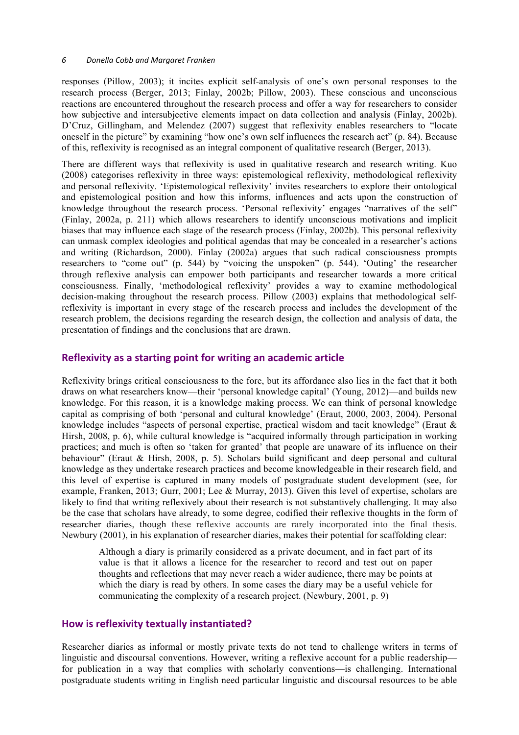responses (Pillow, 2003); it incites explicit self-analysis of one's own personal responses to the research process (Berger, 2013; Finlay, 2002b; Pillow, 2003). These conscious and unconscious reactions are encountered throughout the research process and offer a way for researchers to consider how subjective and intersubjective elements impact on data collection and analysis (Finlay, 2002b). D'Cruz, Gillingham, and Melendez (2007) suggest that reflexivity enables researchers to "locate oneself in the picture" by examining "how one's own self influences the research act" (p. 84). Because of this, reflexivity is recognised as an integral component of qualitative research (Berger, 2013).

There are different ways that reflexivity is used in qualitative research and research writing. Kuo (2008) categorises reflexivity in three ways: epistemological reflexivity, methodological reflexivity and personal reflexivity. 'Epistemological reflexivity' invites researchers to explore their ontological and epistemological position and how this informs, influences and acts upon the construction of knowledge throughout the research process. 'Personal reflexivity' engages "narratives of the self" (Finlay, 2002a, p. 211) which allows researchers to identify unconscious motivations and implicit biases that may influence each stage of the research process (Finlay, 2002b). This personal reflexivity can unmask complex ideologies and political agendas that may be concealed in a researcher's actions and writing (Richardson, 2000). Finlay (2002a) argues that such radical consciousness prompts researchers to "come out" (p. 544) by "voicing the unspoken" (p. 544). 'Outing' the researcher through reflexive analysis can empower both participants and researcher towards a more critical consciousness. Finally, 'methodological reflexivity' provides a way to examine methodological decision-making throughout the research process. Pillow (2003) explains that methodological selfreflexivity is important in every stage of the research process and includes the development of the research problem, the decisions regarding the research design, the collection and analysis of data, the presentation of findings and the conclusions that are drawn.

# **Reflexivity as a starting point for writing an academic article**

Reflexivity brings critical consciousness to the fore, but its affordance also lies in the fact that it both draws on what researchers know—their 'personal knowledge capital' (Young, 2012)—and builds new knowledge. For this reason, it is a knowledge making process. We can think of personal knowledge capital as comprising of both 'personal and cultural knowledge' (Eraut, 2000, 2003, 2004). Personal knowledge includes "aspects of personal expertise, practical wisdom and tacit knowledge" (Eraut & Hirsh, 2008, p. 6), while cultural knowledge is "acquired informally through participation in working practices; and much is often so 'taken for granted' that people are unaware of its influence on their behaviour" (Eraut & Hirsh, 2008, p. 5). Scholars build significant and deep personal and cultural knowledge as they undertake research practices and become knowledgeable in their research field, and this level of expertise is captured in many models of postgraduate student development (see, for example, Franken, 2013; Gurr, 2001; Lee & Murray, 2013). Given this level of expertise, scholars are likely to find that writing reflexively about their research is not substantively challenging. It may also be the case that scholars have already, to some degree, codified their reflexive thoughts in the form of researcher diaries, though these reflexive accounts are rarely incorporated into the final thesis. Newbury (2001), in his explanation of researcher diaries, makes their potential for scaffolding clear:

Although a diary is primarily considered as a private document, and in fact part of its value is that it allows a licence for the researcher to record and test out on paper thoughts and reflections that may never reach a wider audience, there may be points at which the diary is read by others. In some cases the diary may be a useful vehicle for communicating the complexity of a research project. (Newbury, 2001, p. 9)

# How is reflexivity textually instantiated?

Researcher diaries as informal or mostly private texts do not tend to challenge writers in terms of linguistic and discoursal conventions. However, writing a reflexive account for a public readership for publication in a way that complies with scholarly conventions—is challenging. International postgraduate students writing in English need particular linguistic and discoursal resources to be able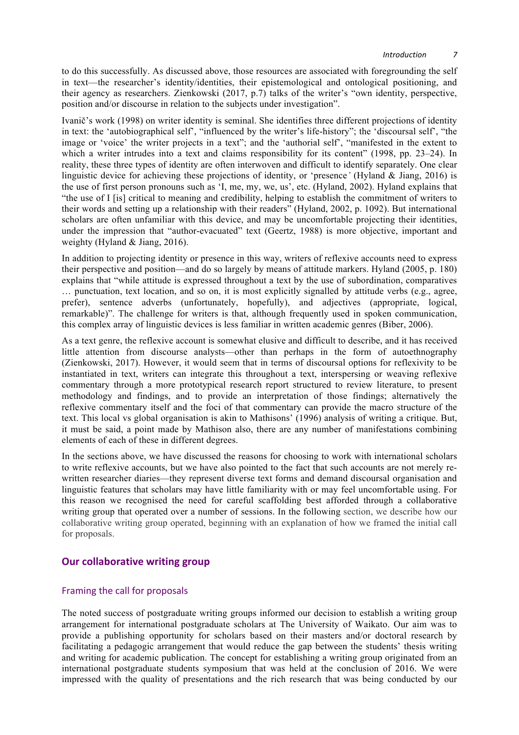to do this successfully. As discussed above, those resources are associated with foregrounding the self in text—the researcher's identity/identities, their epistemological and ontological positioning, and their agency as researchers. Zienkowski (2017, p.7) talks of the writer's "own identity, perspective, position and/or discourse in relation to the subjects under investigation".

Ivanič's work (1998) on writer identity is seminal. She identifies three different projections of identity in text: the 'autobiographical self', "influenced by the writer's life-history"; the 'discoursal self', "the image or 'voice' the writer projects in a text"; and the 'authorial self', "manifested in the extent to which a writer intrudes into a text and claims responsibility for its content" (1998, pp. 23–24). In reality, these three types of identity are often interwoven and difficult to identify separately. One clear linguistic device for achieving these projections of identity, or 'presence*'* (Hyland & Jiang, 2016) is the use of first person pronouns such as 'I, me, my, we, us', etc. (Hyland, 2002). Hyland explains that "the use of I [is] critical to meaning and credibility, helping to establish the commitment of writers to their words and setting up a relationship with their readers" (Hyland, 2002, p. 1092). But international scholars are often unfamiliar with this device, and may be uncomfortable projecting their identities, under the impression that "author-evacuated" text (Geertz, 1988) is more objective, important and weighty (Hyland & Jiang, 2016).

In addition to projecting identity or presence in this way, writers of reflexive accounts need to express their perspective and position—and do so largely by means of attitude markers. Hyland (2005, p. 180) explains that "while attitude is expressed throughout a text by the use of subordination, comparatives … punctuation, text location, and so on, it is most explicitly signalled by attitude verbs (e.g., agree, prefer), sentence adverbs (unfortunately, hopefully), and adjectives (appropriate, logical, remarkable)". The challenge for writers is that, although frequently used in spoken communication, this complex array of linguistic devices is less familiar in written academic genres (Biber, 2006).

As a text genre, the reflexive account is somewhat elusive and difficult to describe, and it has received little attention from discourse analysts—other than perhaps in the form of autoethnography (Zienkowski, 2017). However, it would seem that in terms of discoursal options for reflexivity to be instantiated in text, writers can integrate this throughout a text, interspersing or weaving reflexive commentary through a more prototypical research report structured to review literature, to present methodology and findings, and to provide an interpretation of those findings; alternatively the reflexive commentary itself and the foci of that commentary can provide the macro structure of the text. This local vs global organisation is akin to Mathisons' (1996) analysis of writing a critique. But, it must be said, a point made by Mathison also, there are any number of manifestations combining elements of each of these in different degrees.

In the sections above, we have discussed the reasons for choosing to work with international scholars to write reflexive accounts, but we have also pointed to the fact that such accounts are not merely rewritten researcher diaries—they represent diverse text forms and demand discoursal organisation and linguistic features that scholars may have little familiarity with or may feel uncomfortable using. For this reason we recognised the need for careful scaffolding best afforded through a collaborative writing group that operated over a number of sessions. In the following section, we describe how our collaborative writing group operated, beginning with an explanation of how we framed the initial call for proposals.

# **Our collaborative writing group**

# Framing the call for proposals

The noted success of postgraduate writing groups informed our decision to establish a writing group arrangement for international postgraduate scholars at The University of Waikato. Our aim was to provide a publishing opportunity for scholars based on their masters and/or doctoral research by facilitating a pedagogic arrangement that would reduce the gap between the students' thesis writing and writing for academic publication. The concept for establishing a writing group originated from an international postgraduate students symposium that was held at the conclusion of 2016. We were impressed with the quality of presentations and the rich research that was being conducted by our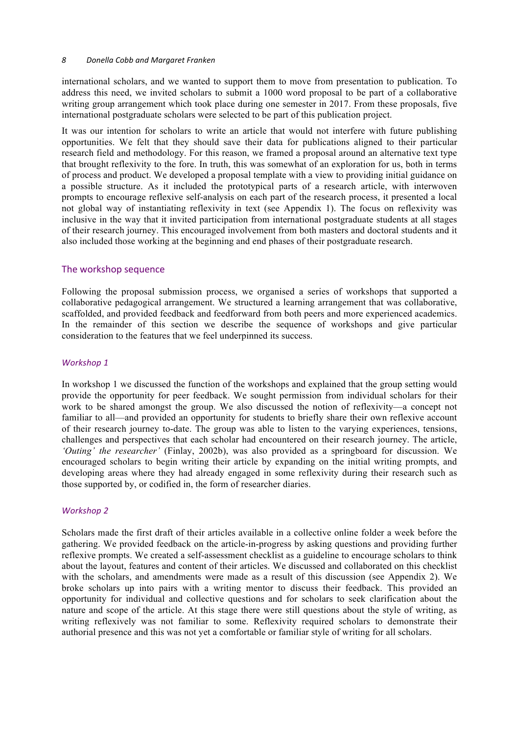### *8 Donella Cobb and Margaret Franken*

international scholars, and we wanted to support them to move from presentation to publication. To address this need, we invited scholars to submit a 1000 word proposal to be part of a collaborative writing group arrangement which took place during one semester in 2017. From these proposals, five international postgraduate scholars were selected to be part of this publication project.

It was our intention for scholars to write an article that would not interfere with future publishing opportunities. We felt that they should save their data for publications aligned to their particular research field and methodology. For this reason, we framed a proposal around an alternative text type that brought reflexivity to the fore. In truth, this was somewhat of an exploration for us, both in terms of process and product. We developed a proposal template with a view to providing initial guidance on a possible structure. As it included the prototypical parts of a research article, with interwoven prompts to encourage reflexive self-analysis on each part of the research process, it presented a local not global way of instantiating reflexivity in text (see Appendix 1). The focus on reflexivity was inclusive in the way that it invited participation from international postgraduate students at all stages of their research journey. This encouraged involvement from both masters and doctoral students and it also included those working at the beginning and end phases of their postgraduate research.

# The workshop sequence

Following the proposal submission process, we organised a series of workshops that supported a collaborative pedagogical arrangement. We structured a learning arrangement that was collaborative, scaffolded, and provided feedback and feedforward from both peers and more experienced academics. In the remainder of this section we describe the sequence of workshops and give particular consideration to the features that we feel underpinned its success.

# *Workshop 1*

In workshop 1 we discussed the function of the workshops and explained that the group setting would provide the opportunity for peer feedback. We sought permission from individual scholars for their work to be shared amongst the group. We also discussed the notion of reflexivity—a concept not familiar to all—and provided an opportunity for students to briefly share their own reflexive account of their research journey to-date. The group was able to listen to the varying experiences, tensions, challenges and perspectives that each scholar had encountered on their research journey. The article, *'Outing' the researcher'* (Finlay, 2002b), was also provided as a springboard for discussion. We encouraged scholars to begin writing their article by expanding on the initial writing prompts, and developing areas where they had already engaged in some reflexivity during their research such as those supported by, or codified in, the form of researcher diaries.

# *Workshop 2*

Scholars made the first draft of their articles available in a collective online folder a week before the gathering. We provided feedback on the article-in-progress by asking questions and providing further reflexive prompts. We created a self-assessment checklist as a guideline to encourage scholars to think about the layout, features and content of their articles. We discussed and collaborated on this checklist with the scholars, and amendments were made as a result of this discussion (see Appendix 2). We broke scholars up into pairs with a writing mentor to discuss their feedback. This provided an opportunity for individual and collective questions and for scholars to seek clarification about the nature and scope of the article. At this stage there were still questions about the style of writing, as writing reflexively was not familiar to some. Reflexivity required scholars to demonstrate their authorial presence and this was not yet a comfortable or familiar style of writing for all scholars.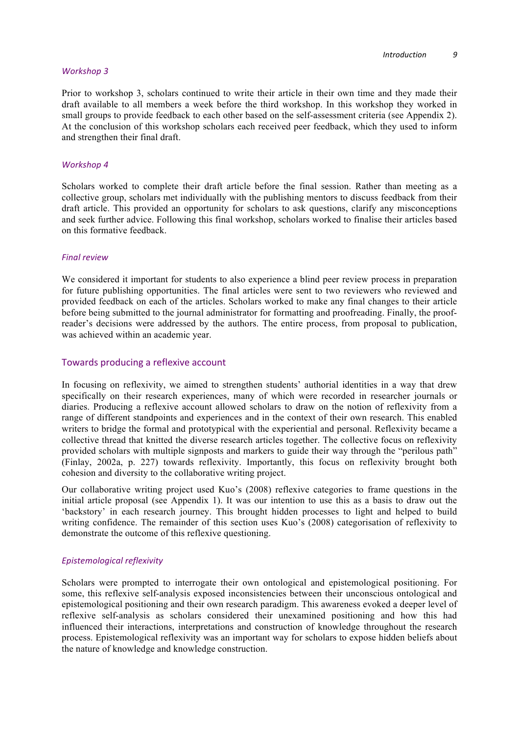#### *Workshop 3*

Prior to workshop 3, scholars continued to write their article in their own time and they made their draft available to all members a week before the third workshop. In this workshop they worked in small groups to provide feedback to each other based on the self-assessment criteria (see Appendix 2). At the conclusion of this workshop scholars each received peer feedback, which they used to inform and strengthen their final draft.

#### *Workshop 4*

Scholars worked to complete their draft article before the final session. Rather than meeting as a collective group, scholars met individually with the publishing mentors to discuss feedback from their draft article. This provided an opportunity for scholars to ask questions, clarify any misconceptions and seek further advice. Following this final workshop, scholars worked to finalise their articles based on this formative feedback.

#### *Final review*

We considered it important for students to also experience a blind peer review process in preparation for future publishing opportunities. The final articles were sent to two reviewers who reviewed and provided feedback on each of the articles. Scholars worked to make any final changes to their article before being submitted to the journal administrator for formatting and proofreading. Finally, the proofreader's decisions were addressed by the authors. The entire process, from proposal to publication, was achieved within an academic year.

#### Towards producing a reflexive account

In focusing on reflexivity, we aimed to strengthen students' authorial identities in a way that drew specifically on their research experiences, many of which were recorded in researcher journals or diaries. Producing a reflexive account allowed scholars to draw on the notion of reflexivity from a range of different standpoints and experiences and in the context of their own research. This enabled writers to bridge the formal and prototypical with the experiential and personal. Reflexivity became a collective thread that knitted the diverse research articles together. The collective focus on reflexivity provided scholars with multiple signposts and markers to guide their way through the "perilous path" (Finlay, 2002a, p. 227) towards reflexivity. Importantly, this focus on reflexivity brought both cohesion and diversity to the collaborative writing project.

Our collaborative writing project used Kuo's (2008) reflexive categories to frame questions in the initial article proposal (see Appendix 1). It was our intention to use this as a basis to draw out the 'backstory' in each research journey. This brought hidden processes to light and helped to build writing confidence. The remainder of this section uses Kuo's (2008) categorisation of reflexivity to demonstrate the outcome of this reflexive questioning.

#### *Epistemological reflexivity*

Scholars were prompted to interrogate their own ontological and epistemological positioning. For some, this reflexive self-analysis exposed inconsistencies between their unconscious ontological and epistemological positioning and their own research paradigm. This awareness evoked a deeper level of reflexive self-analysis as scholars considered their unexamined positioning and how this had influenced their interactions, interpretations and construction of knowledge throughout the research process. Epistemological reflexivity was an important way for scholars to expose hidden beliefs about the nature of knowledge and knowledge construction.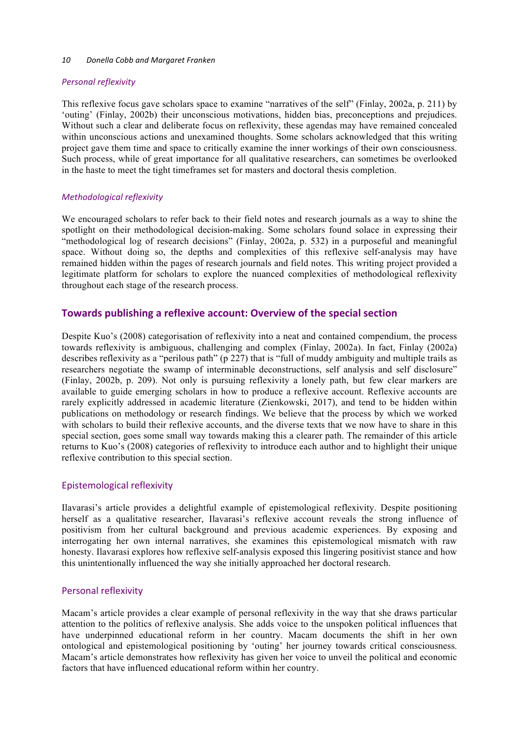#### 10 Donella Cobb and Margaret Franken

# *Personal reflexivity*

This reflexive focus gave scholars space to examine "narratives of the self" (Finlay, 2002a, p. 211) by 'outing' (Finlay, 2002b) their unconscious motivations, hidden bias, preconceptions and prejudices. Without such a clear and deliberate focus on reflexivity, these agendas may have remained concealed within unconscious actions and unexamined thoughts. Some scholars acknowledged that this writing project gave them time and space to critically examine the inner workings of their own consciousness. Such process, while of great importance for all qualitative researchers, can sometimes be overlooked in the haste to meet the tight timeframes set for masters and doctoral thesis completion.

# *Methodological reflexivity*

We encouraged scholars to refer back to their field notes and research journals as a way to shine the spotlight on their methodological decision-making. Some scholars found solace in expressing their "methodological log of research decisions" (Finlay, 2002a, p. 532) in a purposeful and meaningful space. Without doing so, the depths and complexities of this reflexive self-analysis may have remained hidden within the pages of research journals and field notes. This writing project provided a legitimate platform for scholars to explore the nuanced complexities of methodological reflexivity throughout each stage of the research process.

# **Towards publishing a reflexive account: Overview of the special section**

Despite Kuo's (2008) categorisation of reflexivity into a neat and contained compendium, the process towards reflexivity is ambiguous, challenging and complex (Finlay, 2002a). In fact, Finlay (2002a) describes reflexivity as a "perilous path" (p 227) that is "full of muddy ambiguity and multiple trails as researchers negotiate the swamp of interminable deconstructions, self analysis and self disclosure" (Finlay, 2002b, p. 209). Not only is pursuing reflexivity a lonely path, but few clear markers are available to guide emerging scholars in how to produce a reflexive account. Reflexive accounts are rarely explicitly addressed in academic literature (Zienkowski, 2017), and tend to be hidden within publications on methodology or research findings. We believe that the process by which we worked with scholars to build their reflexive accounts, and the diverse texts that we now have to share in this special section, goes some small way towards making this a clearer path. The remainder of this article returns to Kuo's (2008) categories of reflexivity to introduce each author and to highlight their unique reflexive contribution to this special section.

# Epistemological reflexivity

Ilavarasi's article provides a delightful example of epistemological reflexivity. Despite positioning herself as a qualitative researcher, Ilavarasi's reflexive account reveals the strong influence of positivism from her cultural background and previous academic experiences. By exposing and interrogating her own internal narratives, she examines this epistemological mismatch with raw honesty. Ilavarasi explores how reflexive self-analysis exposed this lingering positivist stance and how this unintentionally influenced the way she initially approached her doctoral research.

# Personal reflexivity

Macam's article provides a clear example of personal reflexivity in the way that she draws particular attention to the politics of reflexive analysis. She adds voice to the unspoken political influences that have underpinned educational reform in her country. Macam documents the shift in her own ontological and epistemological positioning by 'outing' her journey towards critical consciousness. Macam's article demonstrates how reflexivity has given her voice to unveil the political and economic factors that have influenced educational reform within her country.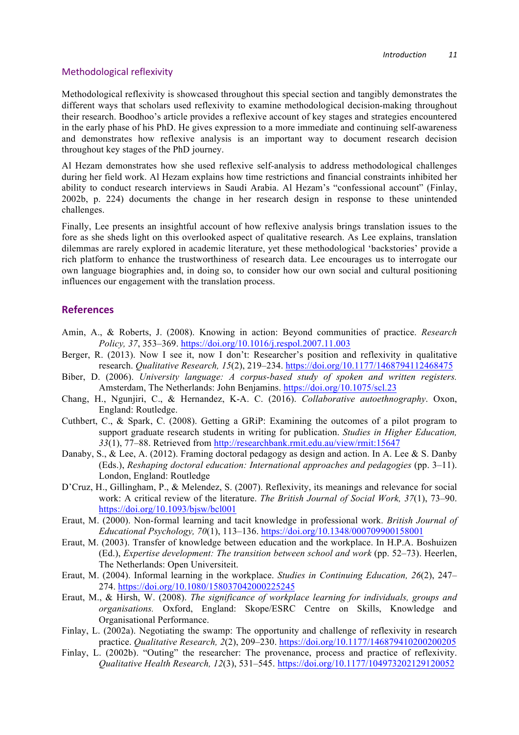### Methodological reflexivity

Methodological reflexivity is showcased throughout this special section and tangibly demonstrates the different ways that scholars used reflexivity to examine methodological decision-making throughout their research. Boodhoo's article provides a reflexive account of key stages and strategies encountered in the early phase of his PhD. He gives expression to a more immediate and continuing self-awareness and demonstrates how reflexive analysis is an important way to document research decision throughout key stages of the PhD journey.

Al Hezam demonstrates how she used reflexive self-analysis to address methodological challenges during her field work. Al Hezam explains how time restrictions and financial constraints inhibited her ability to conduct research interviews in Saudi Arabia. Al Hezam's "confessional account" (Finlay, 2002b, p. 224) documents the change in her research design in response to these unintended challenges.

Finally, Lee presents an insightful account of how reflexive analysis brings translation issues to the fore as she sheds light on this overlooked aspect of qualitative research. As Lee explains, translation dilemmas are rarely explored in academic literature, yet these methodological 'backstories' provide a rich platform to enhance the trustworthiness of research data. Lee encourages us to interrogate our own language biographies and, in doing so, to consider how our own social and cultural positioning influences our engagement with the translation process.

# **References**

- Amin, A., & Roberts, J. (2008). Knowing in action: Beyond communities of practice. *Research Policy, 37*, 353–369. https://doi.org/10.1016/j.respol.2007.11.003
- Berger, R. (2013). Now I see it, now I don't: Researcher's position and reflexivity in qualitative research. *Qualitative Research, 15*(2), 219–234. https://doi.org/10.1177/1468794112468475
- Biber, D. (2006). *University language: A corpus-based study of spoken and written registers.* Amsterdam, The Netherlands: John Benjamins. https://doi.org/10.1075/scl.23
- Chang, H., Ngunjiri, C., & Hernandez, K-A. C. (2016). *Collaborative autoethnography*. Oxon, England: Routledge.
- Cuthbert, C., & Spark, C. (2008). Getting a GRiP: Examining the outcomes of a pilot program to support graduate research students in writing for publication. *Studies in Higher Education, 33*(1), 77–88. Retrieved from http://researchbank.rmit.edu.au/view/rmit:15647
- Danaby, S., & Lee, A. (2012). Framing doctoral pedagogy as design and action. In A. Lee & S. Danby (Eds.), *Reshaping doctoral education: International approaches and pedagogies* (pp. 3–11). London, England: Routledge
- D'Cruz, H., Gillingham, P., & Melendez, S. (2007). Reflexivity, its meanings and relevance for social work: A critical review of the literature. *The British Journal of Social Work, 37*(1), 73–90. https://doi.org/10.1093/bjsw/bcl001
- Eraut, M. (2000). Non-formal learning and tacit knowledge in professional work. *British Journal of Educational Psychology, 70*(1), 113–136. https://doi.org/10.1348/000709900158001
- Eraut, M. (2003). Transfer of knowledge between education and the workplace. In H.P.A. Boshuizen (Ed.), *Expertise development: The transition between school and work* (pp. 52–73). Heerlen, The Netherlands: Open Universiteit.
- Eraut, M. (2004). Informal learning in the workplace. *Studies in Continuing Education, 26*(2), 247– 274. https://doi.org/10.1080/158037042000225245
- Eraut, M., & Hirsh, W. (2008). *The significance of workplace learning for individuals, groups and organisations.* Oxford, England: Skope/ESRC Centre on Skills, Knowledge and Organisational Performance.
- Finlay, L. (2002a). Negotiating the swamp: The opportunity and challenge of reflexivity in research practice. *Qualitative Research, 2*(2), 209–230. https://doi.org/10.1177/146879410200200205
- Finlay, L. (2002b). "Outing" the researcher: The provenance, process and practice of reflexivity. *Qualitative Health Research, 12*(3), 531–545. https://doi.org/10.1177/104973202129120052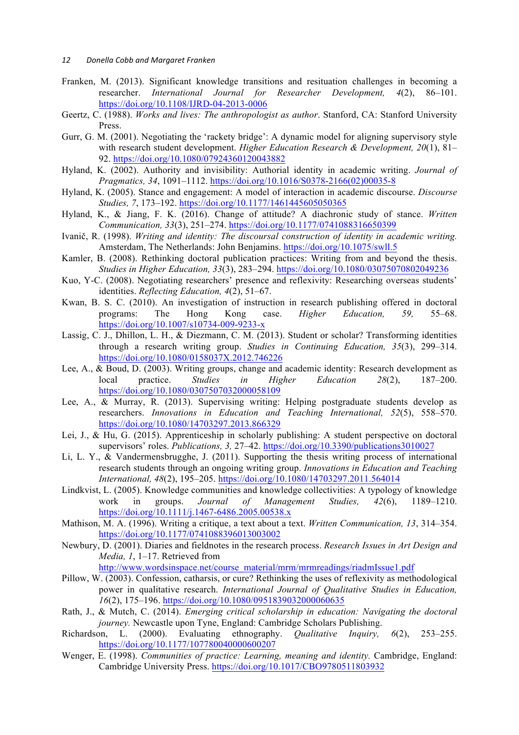#### 12 *Donella Cobb and Margaret Franken*

- Franken, M. (2013). Significant knowledge transitions and resituation challenges in becoming a researcher. *International Journal for Researcher Development, 4*(2), 86–101. https://doi.org/10.1108/IJRD-04-2013-0006
- Geertz, C. (1988). *Works and lives: The anthropologist as author*. Stanford, CA: Stanford University Press.
- Gurr, G. M. (2001). Negotiating the 'rackety bridge': A dynamic model for aligning supervisory style with research student development. *Higher Education Research & Development, 20*(1), 81– 92. https://doi.org/10.1080/07924360120043882
- Hyland, K. (2002). Authority and invisibility: Authorial identity in academic writing. *Journal of Pragmatics, 34*, 1091–1112. https://doi.org/10.1016/S0378-2166(02)00035-8
- Hyland, K. (2005). Stance and engagement: A model of interaction in academic discourse. *Discourse Studies, 7*, 173–192. https://doi.org/10.1177/1461445605050365
- Hyland, K., & Jiang, F. K. (2016). Change of attitude? A diachronic study of stance. *Written Communication, 33*(3), 251–274. https://doi.org/10.1177/0741088316650399
- Ivanič, R. (1998). *Writing and identity: The discoursal construction of identity in academic writing.* Amsterdam, The Netherlands: John Benjamins. https://doi.org/10.1075/swll.5
- Kamler, B. (2008). Rethinking doctoral publication practices: Writing from and beyond the thesis. *Studies in Higher Education, 33*(3), 283–294. https://doi.org/10.1080/03075070802049236
- Kuo, Y-C. (2008). Negotiating researchers' presence and reflexivity: Researching overseas students' identities. *Reflecting Education, 4*(2), 51–67.
- Kwan, B. S. C. (2010). An investigation of instruction in research publishing offered in doctoral programs: The Hong Kong case. *Higher Education, 59,* 55–68. https://doi.org/10.1007/s10734-009-9233-x
- Lassig, C. J., Dhillon, L. H., & Diezmann, C. M. (2013). Student or scholar? Transforming identities through a research writing group. *Studies in Continuing Education, 35*(3), 299–314. https://doi.org/10.1080/0158037X.2012.746226
- Lee, A., & Boud, D. (2003). Writing groups, change and academic identity: Research development as local practice. *Studies in Higher Education 28*(2), 187–200. https://doi.org/10.1080/0307507032000058109
- Lee, A., & Murray, R. (2013). Supervising writing: Helping postgraduate students develop as researchers. *Innovations in Education and Teaching International, 52*(5), 558–570. https://doi.org/10.1080/14703297.2013.866329
- Lei, J., & Hu, G. (2015). Apprenticeship in scholarly publishing: A student perspective on doctoral supervisors' roles. *Publications, 3,* 27–42. https://doi.org/10.3390/publications3010027
- Li, L. Y., & Vandermensbrugghe, J. (2011). Supporting the thesis writing process of international research students through an ongoing writing group. *Innovations in Education and Teaching International, 48*(2), 195–205. https://doi.org/10.1080/14703297.2011.564014
- Lindkvist, L. (2005). Knowledge communities and knowledge collectivities: A typology of knowledge work in groups. *Journal of Management Studies, 42*(6), 1189–1210. https://doi.org/10.1111/j.1467-6486.2005.00538.x
- Mathison, M. A. (1996). Writing a critique, a text about a text. *Written Communication, 13*, 314–354. https://doi.org/10.1177/0741088396013003002
- Newbury, D. (2001). Diaries and fieldnotes in the research process. *Research Issues in Art Design and Media, 1*, 1–17. Retrieved from

http://www.wordsinspace.net/course\_material/mrm/mrmreadings/riadmIssue1.pdf

- Pillow, W. (2003). Confession, catharsis, or cure? Rethinking the uses of reflexivity as methodological power in qualitative research. *International Journal of Qualitative Studies in Education, 16*(2), 175–196. https://doi.org/10.1080/0951839032000060635
- Rath, J., & Mutch, C. (2014). *Emerging critical scholarship in education: Navigating the doctoral journey.* Newcastle upon Tyne, England: Cambridge Scholars Publishing.
- Richardson, L. (2000). Evaluating ethnography. *Qualitative Inquiry, 6*(2), 253–255. https://doi.org/10.1177/107780040000600207
- Wenger, E. (1998). *Communities of practice: Learning, meaning and identity.* Cambridge, England: Cambridge University Press. https://doi.org/10.1017/CBO9780511803932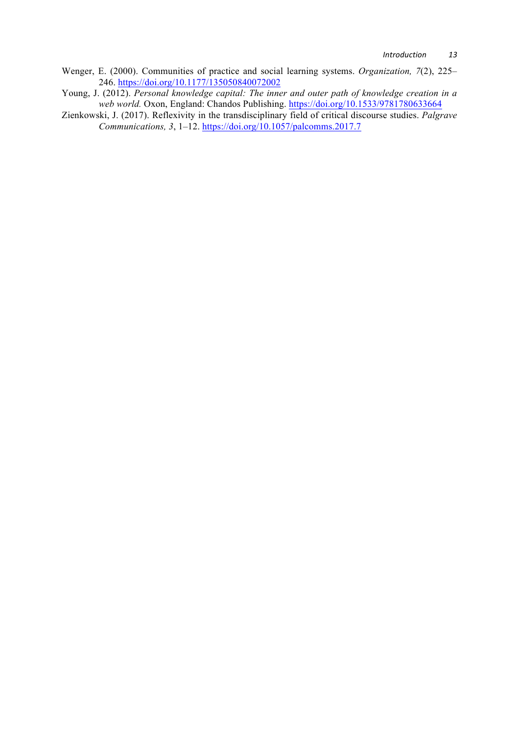- Wenger, E. (2000). Communities of practice and social learning systems. *Organization, 7*(2), 225– 246. https://doi.org/10.1177/135050840072002
- Young, J. (2012). *Personal knowledge capital: The inner and outer path of knowledge creation in a web world.* Oxon, England: Chandos Publishing. https://doi.org/10.1533/9781780633664
- Zienkowski, J. (2017). Reflexivity in the transdisciplinary field of critical discourse studies. *Palgrave Communications, 3*, 1–12. https://doi.org/10.1057/palcomms.2017.7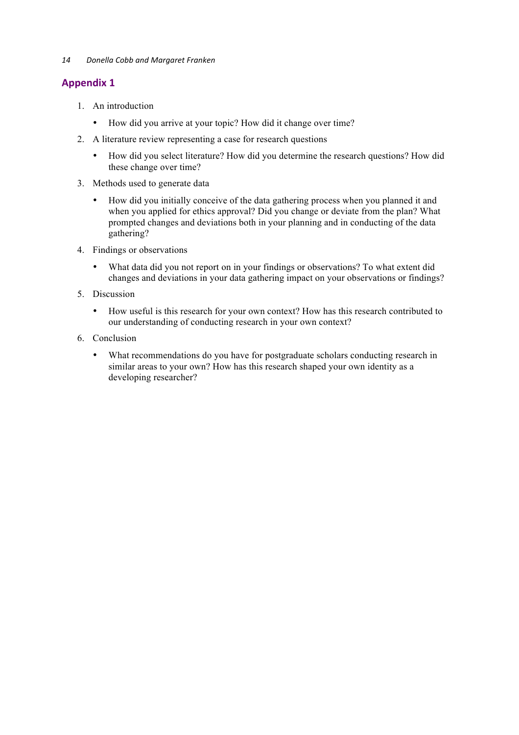*14 Donella Cobb and Margaret Franken* 

# **Appendix 1**

- 1. An introduction
	- How did you arrive at your topic? How did it change over time?
- 2. A literature review representing a case for research questions
	- How did you select literature? How did you determine the research questions? How did these change over time?
- 3. Methods used to generate data
	- How did you initially conceive of the data gathering process when you planned it and when you applied for ethics approval? Did you change or deviate from the plan? What prompted changes and deviations both in your planning and in conducting of the data gathering?
- 4. Findings or observations
	- What data did you not report on in your findings or observations? To what extent did changes and deviations in your data gathering impact on your observations or findings?
- 5. Discussion
	- How useful is this research for your own context? How has this research contributed to our understanding of conducting research in your own context?
- 6. Conclusion
	- What recommendations do you have for postgraduate scholars conducting research in similar areas to your own? How has this research shaped your own identity as a developing researcher?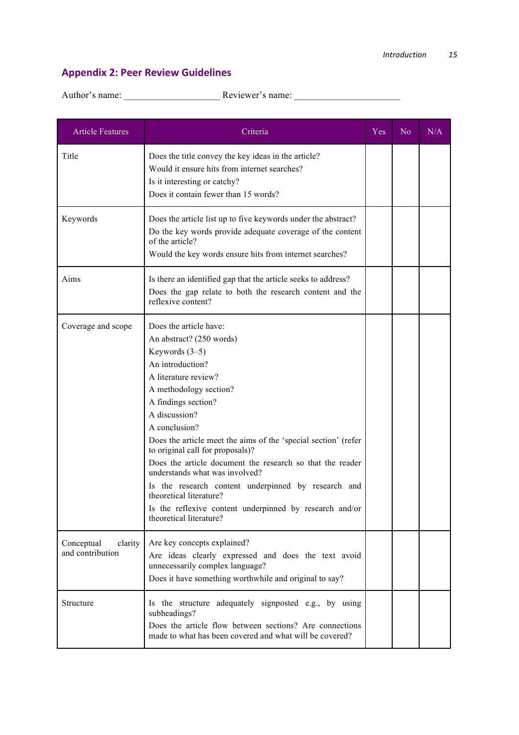# **Appendix 2: Peer Review Guidelines**

| <b>Article Features</b>                   | Criteria                                                                                                                                                                                                                                                                                                                                                                                                                                                                                                                                                                           | Yes | No. | N/A |
|-------------------------------------------|------------------------------------------------------------------------------------------------------------------------------------------------------------------------------------------------------------------------------------------------------------------------------------------------------------------------------------------------------------------------------------------------------------------------------------------------------------------------------------------------------------------------------------------------------------------------------------|-----|-----|-----|
| Title                                     | Does the title convey the key ideas in the article?<br>Would it ensure hits from internet searches?<br>Is it interesting or catchy?<br>Does it contain fewer than 15 words?                                                                                                                                                                                                                                                                                                                                                                                                        |     |     |     |
| Keywords                                  | Does the article list up to five keywords under the abstract?<br>Do the key words provide adequate coverage of the content<br>of the article?<br>Would the key words ensure hits from internet searches?                                                                                                                                                                                                                                                                                                                                                                           |     |     |     |
| Aims                                      | Is there an identified gap that the article seeks to address?<br>Does the gap relate to both the research content and the<br>reflexive content?                                                                                                                                                                                                                                                                                                                                                                                                                                    |     |     |     |
| Coverage and scope                        | Does the article have:<br>An abstract? (250 words)<br>Keywords $(3-5)$<br>An introduction?<br>A literature review?<br>A methodology section?<br>A findings section?<br>A discussion?<br>A conclusion?<br>Does the article meet the aims of the 'special section' (refer<br>to original call for proposals)?<br>Does the article document the research so that the reader<br>understands what was involved?<br>Is the research content underpinned by research and<br>theoretical literature?<br>Is the reflexive content underpinned by research and/or<br>theoretical literature? |     |     |     |
| Conceptual<br>clarity<br>and contribution | Are key concepts explained?<br>Are ideas clearly expressed and does the text avoid<br>unnecessarily complex language?<br>Does it have something worthwhile and original to say?                                                                                                                                                                                                                                                                                                                                                                                                    |     |     |     |
| Structure                                 | Is the structure adequately signposted e.g., by using<br>subheadings?<br>Does the article flow between sections? Are connections<br>made to what has been covered and what will be covered?                                                                                                                                                                                                                                                                                                                                                                                        |     |     |     |

Author's name: \_\_\_\_\_\_\_\_\_\_\_\_\_\_\_\_\_\_\_\_ Reviewer's name: \_\_\_\_\_\_\_\_\_\_\_\_\_\_\_\_\_\_\_\_\_\_